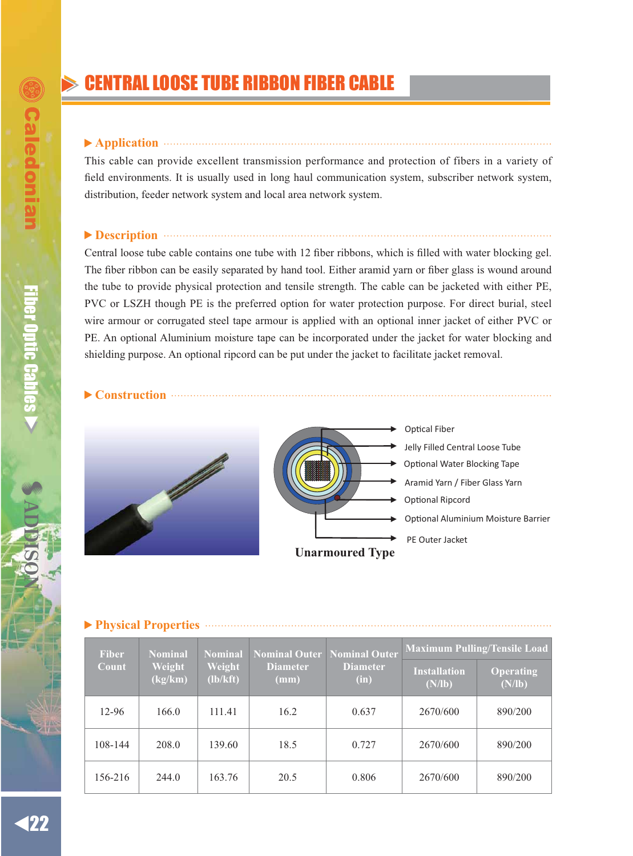# **CENTRAL LOOSE TUBE RIBBON FIBER CABLE**

### ▶ Application **and the contract of the contract of the contract of the contract of the contract of the contract of the contract of the contract of the contract of the contract of the contract of the contract of the contra**

This cable can provide excellent transmission performance and protection of fibers in a variety of field environments. It is usually used in long haul communication system, subscriber network system, distribution, feeder network system and local area network system.

# **Description**

Central loose tube cable contains one tube with 12 fiber ribbons, which is filled with water blocking gel. The fiber ribbon can be easily separated by hand tool. Either aramid yarn or fiber glass is wound around the tube to provide physical protection and tensile strength. The cable can be jacketed with either PE, PVC or LSZH though PE is the preferred option for water protection purpose. For direct burial, steel wire armour or corrugated steel tape armour is applied with an optional inner jacket of either PVC or PE. An optional Aluminium moisture tape can be incorporated under the jacket for water blocking and shielding purpose. An optional ripcord can be put under the jacket to facilitate jacket removal.

### **Construction**





← Optical Fiber Jelly Filled Central Loose Tube Aramid Yarn / Fiber Glass Yarn Optional Ripcord Optional Aluminium Moisture Barrier PE Outer Jacket Dptional Water Blocking Tape

## **Physical Properties**

| <b>Fiber</b> | Nominal Outer<br><b>Nominal</b><br><b>Nominal</b><br>Weight<br>Weight<br><b>Diameter</b><br><b>Diameter</b><br>(lb/kft)<br>(kg/km)<br>(mm)<br>(in) |        |                               | Nominal Outer       | <b>Maximum Pulling/Tensile Load</b> |         |
|--------------|----------------------------------------------------------------------------------------------------------------------------------------------------|--------|-------------------------------|---------------------|-------------------------------------|---------|
| Count        |                                                                                                                                                    |        | <b>Installation</b><br>(N/lb) | Operating<br>(N/lb) |                                     |         |
| 12-96        | 166.0                                                                                                                                              | 111.41 | 16.2                          | 0.637               | 2670/600                            | 890/200 |
| 108-144      | 208.0                                                                                                                                              | 139.60 | 18.5                          | 0.727               | 2670/600                            | 890/200 |
| 156-216      | 244.0                                                                                                                                              | 163.76 | 20.5                          | 0.806               | 2670/600                            | 890/200 |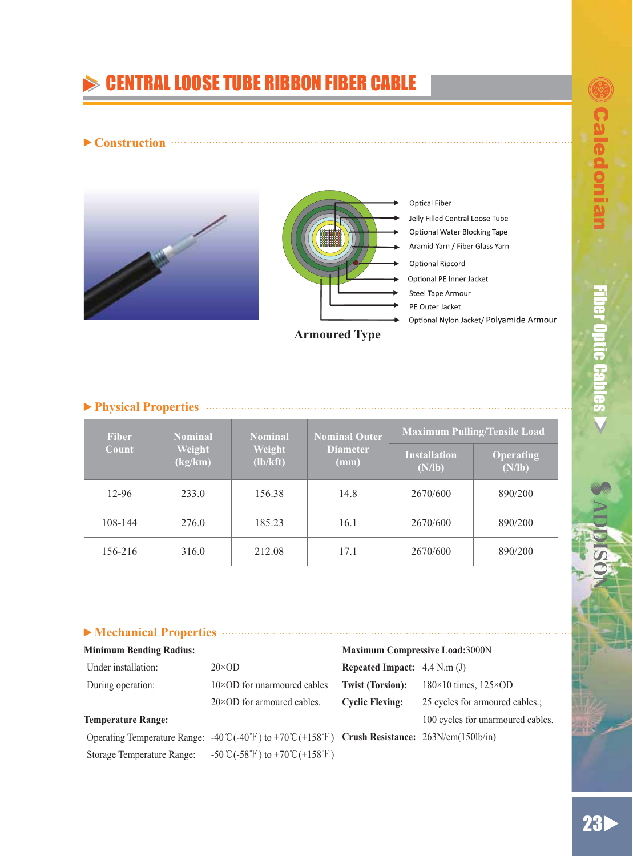ƷƷ

# **CENTRAL LOOSE TUBE RIBBON FIBER CABLE**

## **Construction**



## **Physical Properties**

| <b>Fiber</b><br>Count | <b>Nominal</b><br>Weight<br>(kg/km) | <b>Nominal</b><br>Weight<br>(lb/kft) | <b>Nominal Outer</b><br><b>Diameter</b><br>(mm) | <b>Maximum Pulling/Tensile Load</b> |                            |
|-----------------------|-------------------------------------|--------------------------------------|-------------------------------------------------|-------------------------------------|----------------------------|
|                       |                                     |                                      |                                                 | <b>Installation</b><br>(N/lb)       | <b>Operating</b><br>(N/lb) |
| 12-96                 | 233.0                               | 156.38                               | 14.8                                            | 2670/600                            | 890/200                    |
| 108-144               | 276.0                               | 185.23                               | 16.1                                            | 2670/600                            | 890/200                    |
| 156-216               | 316.0                               | 212.08                               | 17.1                                            | 2670/600                            | 890/200                    |

# **Mechanical Properties**

| <b>Minimum Bending Radius:</b> |                                                                                                                                                                                | <b>Maximum Compressive Load:3000N</b> |                                    |
|--------------------------------|--------------------------------------------------------------------------------------------------------------------------------------------------------------------------------|---------------------------------------|------------------------------------|
| Under installation:            | $20 \times OD$                                                                                                                                                                 | Repeated Impact: $4.4$ N.m (J)        |                                    |
| During operation:              | $10\times$ OD for unarmoured cables                                                                                                                                            | <b>Twist (Torsion):</b>               | $180\times10$ times, $125\timesOD$ |
|                                | $20\times$ OD for armoured cables.                                                                                                                                             | <b>Cyclic Flexing:</b>                | 25 cycles for armoured cables.;    |
| <b>Temperature Range:</b>      |                                                                                                                                                                                |                                       | 100 cycles for unarmoured cables.  |
|                                | Operating Temperature Range: $-40^{\circ}\text{C}$ ( $-40^{\circ}\text{F}$ ) to $+70^{\circ}\text{C}$ ( $+158^{\circ}\text{F}$ ) Crush Resistance: $263\text{N/cm}$ (150lb/in) |                                       |                                    |
|                                |                                                                                                                                                                                |                                       |                                    |

Storage Temperature Range:  $-50^{\circ}\text{C}(-58^{\circ}\text{F})$  to  $+70^{\circ}\text{C}(+158^{\circ}\text{F})$ 

 $\begin{array}{|c|c|c|c|}\hline \textbf{23} & \textbf{24} & \textbf{25} \\ \hline \textbf{25} & \textbf{26} & \textbf{27} \\ \hline \textbf{26} & \textbf{28} & \textbf{28} \\ \hline \textbf{27} & \textbf{28} & \textbf{28} \\ \hline \textbf{28} & \textbf{28} & \textbf{28} \\ \hline \textbf{28} & \textbf{28} & \textbf{28} \\ \hline \textbf{29} & \textbf{28} & \textbf{28} \\ \hline \textbf{20} & \textbf{28$ 23